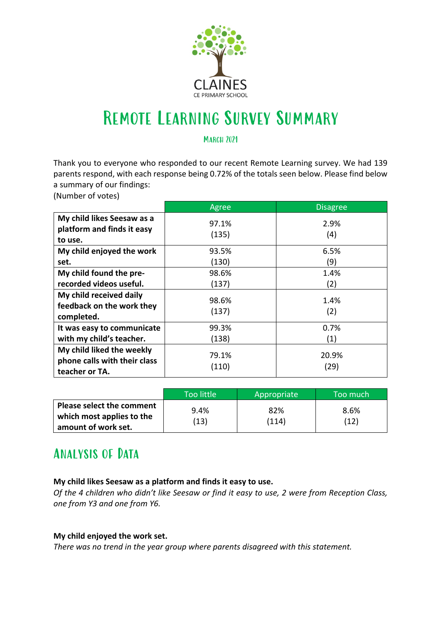

# Remote Learning Survey Summary

**MARCH 2021** 

Thank you to everyone who responded to our recent Remote Learning survey. We had 139 parents respond, with each response being 0.72% of the totals seen below. Please find below a summary of our findings:

(Number of votes)

|                                                                             | Agree          | Disagree      |
|-----------------------------------------------------------------------------|----------------|---------------|
| My child likes Seesaw as a<br>platform and finds it easy<br>to use.         | 97.1%<br>(135) | 2.9%<br>(4)   |
| My child enjoyed the work<br>set.                                           | 93.5%<br>(130) | 6.5%<br>(9)   |
| My child found the pre-<br>recorded videos useful.                          | 98.6%<br>(137) | 1.4%<br>(2)   |
| My child received daily<br>feedback on the work they<br>completed.          | 98.6%<br>(137) | 1.4%<br>(2)   |
| It was easy to communicate<br>with my child's teacher.                      | 99.3%<br>(138) | 0.7%<br>(1)   |
| My child liked the weekly<br>phone calls with their class<br>teacher or TA. | 79.1%<br>(110) | 20.9%<br>(29) |

|                                                                                      | ا Too little | Appropriate  | Too much     |
|--------------------------------------------------------------------------------------|--------------|--------------|--------------|
| <b>Please select the comment</b><br>which most applies to the<br>amount of work set. | 9.4%<br>(13) | 82%<br>(114) | 8.6%<br>(12) |

### Analysis of Data

#### **My child likes Seesaw as a platform and finds it easy to use.**

*Of the 4 children who didn't like Seesaw or find it easy to use, 2 were from Reception Class, one from Y3 and one from Y6.*

#### **My child enjoyed the work set.**

*There was no trend in the year group where parents disagreed with this statement.*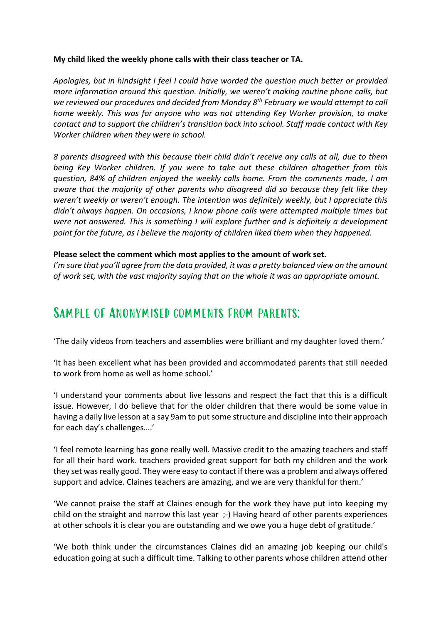#### **My child liked the weekly phone calls with their class teacher or TA.**

*Apologies, but in hindsight I feel I could have worded the question much better or provided more information around this question. Initially, we weren't making routine phone calls, but we reviewed our procedures and decided from Monday 8th February we would attempt to call home weekly. This was for anyone who was not attending Key Worker provision, to make contact and to support the children's transition back into school. Staff made contact with Key Worker children when they were in school.*

*8 parents disagreed with this because their child didn't receive any calls at all, due to them being Key Worker children. If you were to take out these children altogether from this question, 84% of children enjoyed the weekly calls home. From the comments made, I am aware that the majority of other parents who disagreed did so because they felt like they weren't weekly or weren't enough. The intention was definitely weekly, but I appreciate this didn't always happen. On occasions, I know phone calls were attempted multiple times but were not answered. This is something I will explore further and is definitely a development point for the future, as I believe the majority of children liked them when they happened.*

#### **Please select the comment which most applies to the amount of work set.**

*I'm sure that you'll agree from the data provided, it was a pretty balanced view on the amount of work set, with the vast majority saying that on the whole it was an appropriate amount.*

### Sample of Anonymised comments from parents:

'The daily videos from teachers and assemblies were brilliant and my daughter loved them.'

'It has been excellent what has been provided and accommodated parents that still needed to work from home as well as home school.'

'I understand your comments about live lessons and respect the fact that this is a difficult issue. However, I do believe that for the older children that there would be some value in having a daily live lesson at a say 9am to put some structure and discipline into their approach for each day's challenges….'

'I feel remote learning has gone really well. Massive credit to the amazing teachers and staff for all their hard work. teachers provided great support for both my children and the work they set was really good. They were easy to contact if there was a problem and always offered support and advice. Claines teachers are amazing, and we are very thankful for them.'

'We cannot praise the staff at Claines enough for the work they have put into keeping my child on the straight and narrow this last year ;-) Having heard of other parents experiences at other schools it is clear you are outstanding and we owe you a huge debt of gratitude.'

'We both think under the circumstances Claines did an amazing job keeping our child's education going at such a difficult time. Talking to other parents whose children attend other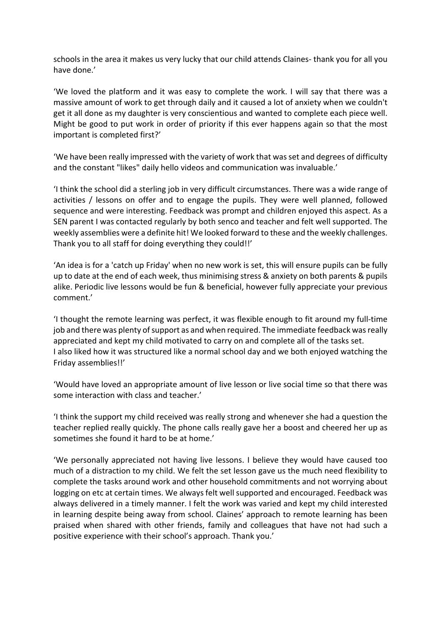schools in the area it makes us very lucky that our child attends Claines- thank you for all you have done.'

'We loved the platform and it was easy to complete the work. I will say that there was a massive amount of work to get through daily and it caused a lot of anxiety when we couldn't get it all done as my daughter is very conscientious and wanted to complete each piece well. Might be good to put work in order of priority if this ever happens again so that the most important is completed first?'

'We have been really impressed with the variety of work that was set and degrees of difficulty and the constant "likes" daily hello videos and communication was invaluable.'

'I think the school did a sterling job in very difficult circumstances. There was a wide range of activities / lessons on offer and to engage the pupils. They were well planned, followed sequence and were interesting. Feedback was prompt and children enjoyed this aspect. As a SEN parent I was contacted regularly by both senco and teacher and felt well supported. The weekly assemblies were a definite hit! We looked forward to these and the weekly challenges. Thank you to all staff for doing everything they could!!'

'An idea is for a 'catch up Friday' when no new work is set, this will ensure pupils can be fully up to date at the end of each week, thus minimising stress & anxiety on both parents & pupils alike. Periodic live lessons would be fun & beneficial, however fully appreciate your previous comment.'

'I thought the remote learning was perfect, it was flexible enough to fit around my full-time job and there was plenty of support as and when required. The immediate feedback was really appreciated and kept my child motivated to carry on and complete all of the tasks set. I also liked how it was structured like a normal school day and we both enjoyed watching the Friday assemblies!!'

'Would have loved an appropriate amount of live lesson or live social time so that there was some interaction with class and teacher.'

'I think the support my child received was really strong and whenever she had a question the teacher replied really quickly. The phone calls really gave her a boost and cheered her up as sometimes she found it hard to be at home.'

'We personally appreciated not having live lessons. I believe they would have caused too much of a distraction to my child. We felt the set lesson gave us the much need flexibility to complete the tasks around work and other household commitments and not worrying about logging on etc at certain times. We always felt well supported and encouraged. Feedback was always delivered in a timely manner. I felt the work was varied and kept my child interested in learning despite being away from school. Claines' approach to remote learning has been praised when shared with other friends, family and colleagues that have not had such a positive experience with their school's approach. Thank you.'